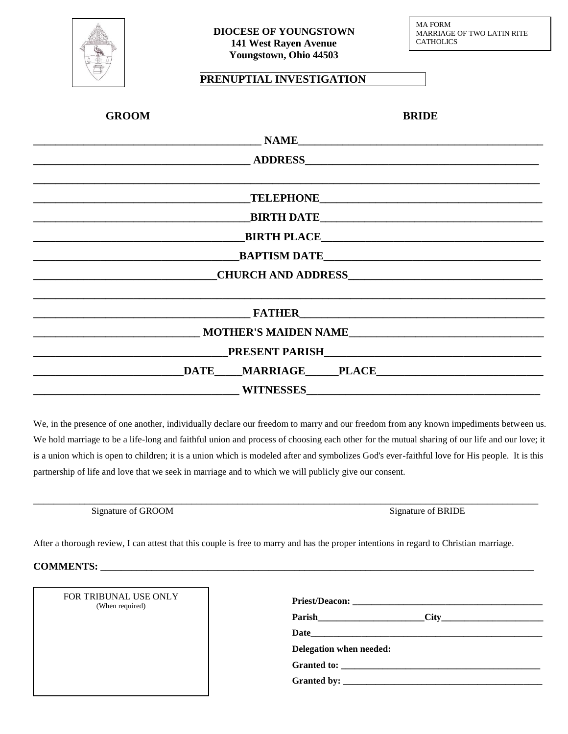

## **PRENUPTIAL INVESTIGATION**

| <b>GROOM</b>                        | <b>BRIDE</b>                         |
|-------------------------------------|--------------------------------------|
|                                     |                                      |
|                                     |                                      |
|                                     |                                      |
|                                     |                                      |
|                                     |                                      |
|                                     |                                      |
| <u> Andreas Andrew Maria (1989)</u> | BAPTISM DATE                         |
|                                     |                                      |
|                                     |                                      |
|                                     | $\blacksquare$ FATHER $\blacksquare$ |
|                                     | MOTHER'S MAIDEN NAME                 |
|                                     |                                      |
|                                     | DATE MARRIAGE PLACE PLACE            |
|                                     |                                      |

We, in the presence of one another, individually declare our freedom to marry and our freedom from any known impediments between us. We hold marriage to be a life-long and faithful union and process of choosing each other for the mutual sharing of our life and our love; it is a union which is open to children; it is a union which is modeled after and symbolizes God's ever-faithful love for His people. It is this partnership of life and love that we seek in marriage and to which we will publicly give our consent.

\_\_\_\_\_\_\_\_\_\_\_\_\_\_\_\_\_\_\_\_\_\_\_\_\_\_\_\_\_\_\_\_\_\_\_\_\_\_\_\_\_\_\_\_\_\_\_\_\_\_\_\_\_\_\_\_\_\_\_\_\_\_\_\_\_\_\_\_\_\_\_\_\_\_\_\_\_\_\_\_\_\_\_\_\_\_\_\_\_\_\_\_\_\_\_\_\_\_\_

Signature of GROOM Signature of BRIDE

After a thorough review, I can attest that this couple is free to marry and has the proper intentions in regard to Christian marriage.

**COMMENTS: \_\_\_\_\_\_\_\_\_\_\_\_\_\_\_\_\_\_\_\_\_\_\_\_\_\_\_\_\_\_\_\_\_\_\_\_\_\_\_\_\_\_\_\_\_\_\_\_\_\_\_\_\_\_\_\_\_\_\_\_\_\_\_\_\_\_\_\_\_\_\_\_\_\_\_\_\_\_\_\_\_\_\_\_\_**

| FOR TRIBUNAL USE ONLY |
|-----------------------|
| (When required)       |

| Delegation when needed: |  |
|-------------------------|--|
|                         |  |
|                         |  |